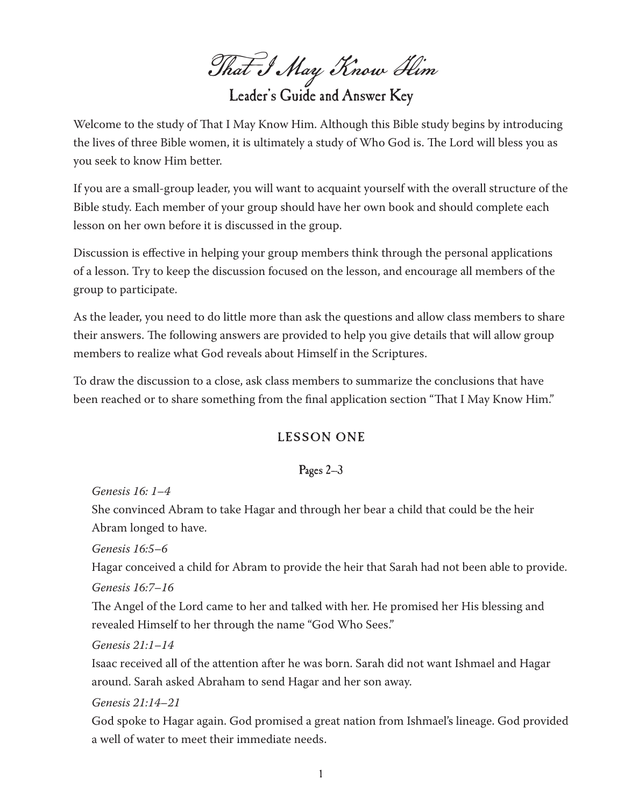That I May Know Him

Leader's Guide and Answer Key

Welcome to the study of That I May Know Him. Although this Bible study begins by introducing the lives of three Bible women, it is ultimately a study of Who God is. The Lord will bless you as you seek to know Him better.

If you are a small-group leader, you will want to acquaint yourself with the overall structure of the Bible study. Each member of your group should have her own book and should complete each lesson on her own before it is discussed in the group.

Discussion is effective in helping your group members think through the personal applications of a lesson. Try to keep the discussion focused on the lesson, and encourage all members of the group to participate.

As the leader, you need to do little more than ask the questions and allow class members to share their answers. The following answers are provided to help you give details that will allow group members to realize what God reveals about Himself in the Scriptures.

To draw the discussion to a close, ask class members to summarize the conclusions that have been reached or to share something from the final application section "That I May Know Him."

# LESSON ONE

## Pages 2–3

*Genesis 16: 1–4*

She convinced Abram to take Hagar and through her bear a child that could be the heir Abram longed to have.

*Genesis 16:5–6*

Hagar conceived a child for Abram to provide the heir that Sarah had not been able to provide. *Genesis 16:7–16*

The Angel of the Lord came to her and talked with her. He promised her His blessing and revealed Himself to her through the name "God Who Sees."

#### *Genesis 21:1–14*

Isaac received all of the attention after he was born. Sarah did not want Ishmael and Hagar around. Sarah asked Abraham to send Hagar and her son away.

*Genesis 21:14–21*

God spoke to Hagar again. God promised a great nation from Ishmael's lineage. God provided a well of water to meet their immediate needs.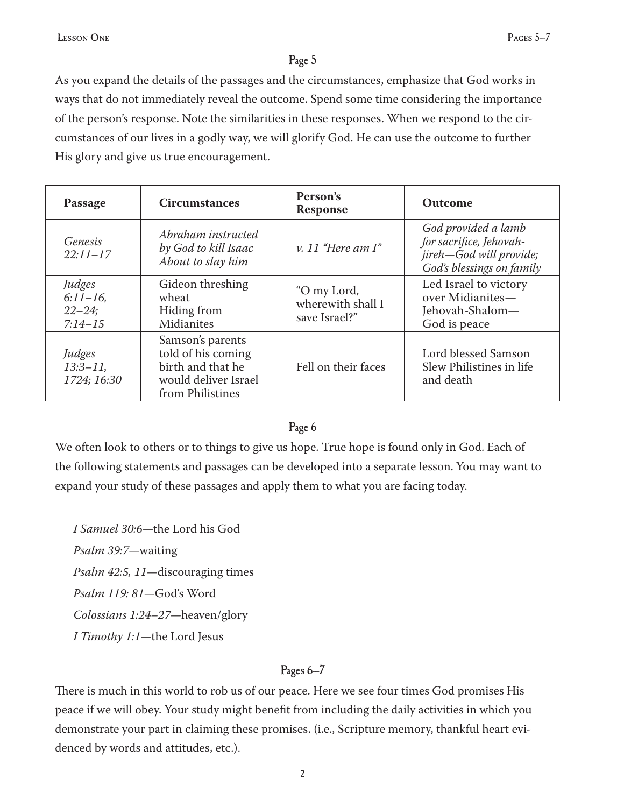As you expand the details of the passages and the circumstances, emphasize that God works in ways that do not immediately reveal the outcome. Spend some time considering the importance of the person's response. Note the similarities in these responses. When we respond to the circumstances of our lives in a godly way, we will glorify God. He can use the outcome to further His glory and give us true encouragement.

| Passage                                          | <b>Circumstances</b>                                                                                    | Person's<br><b>Response</b>                       | Outcome                                                                                                |
|--------------------------------------------------|---------------------------------------------------------------------------------------------------------|---------------------------------------------------|--------------------------------------------------------------------------------------------------------|
| Genesis<br>$22:11 - 17$                          | Abraham instructed<br>by God to kill Isaac<br>About to slay him                                         | v. 11 "Here am I"                                 | God provided a lamb<br>for sacrifice, Jehovah-<br>jireh-God will provide;<br>God's blessings on family |
| Judges<br>$6:11-16$ ,<br>$22 - 24;$<br>$7:14-15$ | Gideon threshing<br>wheat<br>Hiding from<br>Midianites                                                  | "O my Lord,<br>wherewith shall I<br>save Israel?" | Led Israel to victory<br>over Midianites-<br>Jehovah-Shalom-<br>God is peace                           |
| Judges<br>$13:3 - 11$ ,<br>1724; 16:30           | Samson's parents<br>told of his coming<br>birth and that he<br>would deliver Israel<br>from Philistines | Fell on their faces                               | Lord blessed Samson<br>Slew Philistines in life<br>and death                                           |

#### Page 6

We often look to others or to things to give us hope. True hope is found only in God. Each of the following statements and passages can be developed into a separate lesson. You may want to expand your study of these passages and apply them to what you are facing today.

*I Samuel 30:6—*the Lord his God *Psalm 39:7—*waiting *Psalm 42:5, 11—*discouraging times *Psalm 119: 81—*God's Word *Colossians 1:24–27—*heaven/glory *I Timothy 1:1—*the Lord Jesus

#### Pages 6–7

There is much in this world to rob us of our peace. Here we see four times God promises His peace if we will obey. Your study might benefit from including the daily activities in which you demonstrate your part in claiming these promises. (i.e., Scripture memory, thankful heart evidenced by words and attitudes, etc.).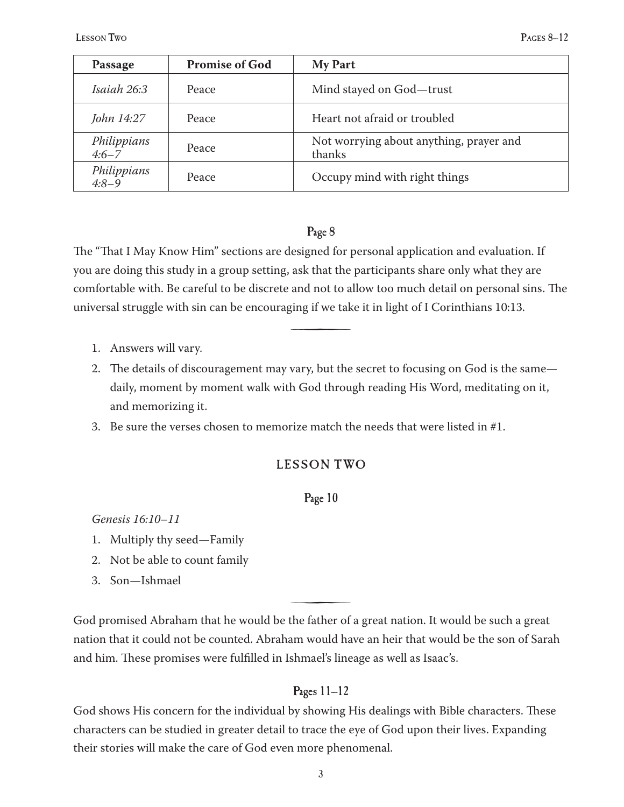| Passage                  | <b>Promise of God</b> | <b>My Part</b>                                    |
|--------------------------|-----------------------|---------------------------------------------------|
| Isaiah 26:3              | Peace                 | Mind stayed on God-trust                          |
| John 14:27               | Peace                 | Heart not afraid or troubled                      |
| Philippians<br>$4:6 - 7$ | Peace                 | Not worrying about anything, prayer and<br>thanks |
| Philippians<br>$4:8-9$   | Peace                 | Occupy mind with right things                     |

The "That I May Know Him" sections are designed for personal application and evaluation. If you are doing this study in a group setting, ask that the participants share only what they are comfortable with. Be careful to be discrete and not to allow too much detail on personal sins. The universal struggle with sin can be encouraging if we take it in light of I Corinthians 10:13.

<u>števili predstavilni predstavilni predstavilni predstavilni predstavilni predstavilni predstavilni predstavilni predstavilni predstavilni predstavilni predstavilni predstavilni predstavilni predstavilni predstavilni preds</u>

- Answers will vary. 1.
- The details of discouragement may vary, but the secret to focusing on God is the same— 2. daily, moment by moment walk with God through reading His Word, meditating on it, and memorizing it.
- 3. Be sure the verses chosen to memorize match the needs that were listed in  $\#1$ .

## LESSON TWO

#### Page 10

*Genesis 16:10–11*

- Multiply thy seed—Family 1.
- 2. Not be able to count family
- Son—Ishmael 3.

God promised Abraham that he would be the father of a great nation. It would be such a great nation that it could not be counted. Abraham would have an heir that would be the son of Sarah and him. These promises were fulfilled in Ishmael's lineage as well as Isaac's.

<u>števili predstavilni predstavilni predstavilni predstavilni predstavilni predstavilni predstavilni predstavilni predstavilni predstavilni predstavilni predstavilni predstavilni predstavilni predstavilni predstavilni preds</u>

## Pages 11–12

God shows His concern for the individual by showing His dealings with Bible characters. These characters can be studied in greater detail to trace the eye of God upon their lives. Expanding their stories will make the care of God even more phenomenal.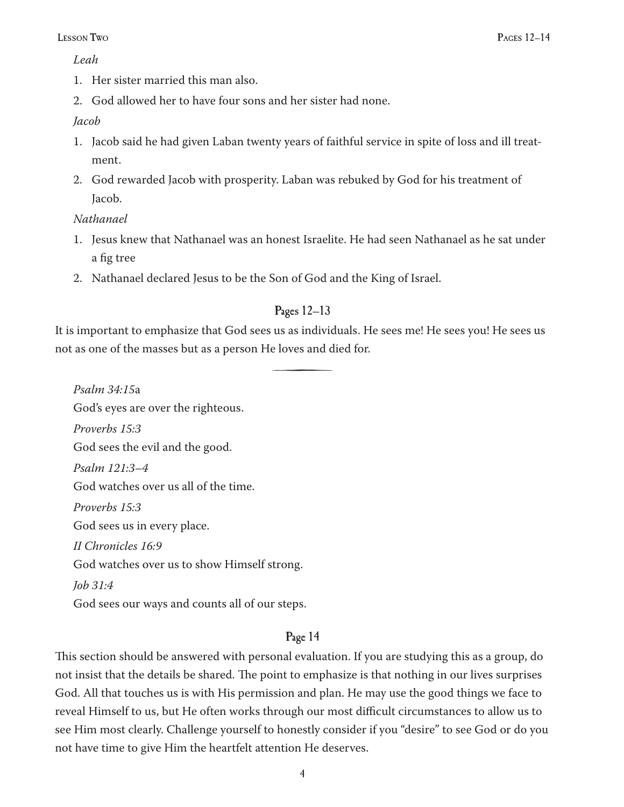#### *Leah*

- 1. Her sister married this man also.
- God allowed her to have four sons and her sister had none. 2.

#### *Jacob*

- Jacob said he had given Laban twenty years of faithful service in spite of loss and ill treat-1. ment.
- God rewarded Jacob with prosperity. Laban was rebuked by God for his treatment of 2. Jacob.

#### *Nathanael*

- Jesus knew that Nathanael was an honest Israelite. He had seen Nathanael as he sat under 1. a fig tree
- Nathanael declared Jesus to be the Son of God and the King of Israel. 2.

## Pages 12–13

It is important to emphasize that God sees us as individuals. He sees me! He sees you! He sees us not as one of the masses but as a person He loves and died for.

<u>števili predstavilni predstavilni predstavilni predstavilni predstavilni predstavilni predstavilni predstavilni predstavilni predstavilni predstavilni predstavilni predstavilni predstavilni predstavilni predstavilni preds</u>

*Psalm 34:15*a God's eyes are over the righteous. *Proverbs 15:3* God sees the evil and the good. *Psalm 121:3–4* God watches over us all of the time. *Proverbs 15:3* God sees us in every place. *II Chronicles 16:9* God watches over us to show Himself strong. *Job 31:4* God sees our ways and counts all of our steps.

## Page 14

This section should be answered with personal evaluation. If you are studying this as a group, do not insist that the details be shared. The point to emphasize is that nothing in our lives surprises God. All that touches us is with His permission and plan. He may use the good things we face to reveal Himself to us, but He often works through our most difficult circumstances to allow us to see Him most clearly. Challenge yourself to honestly consider if you "desire" to see God or do you not have time to give Him the heartfelt attention He deserves.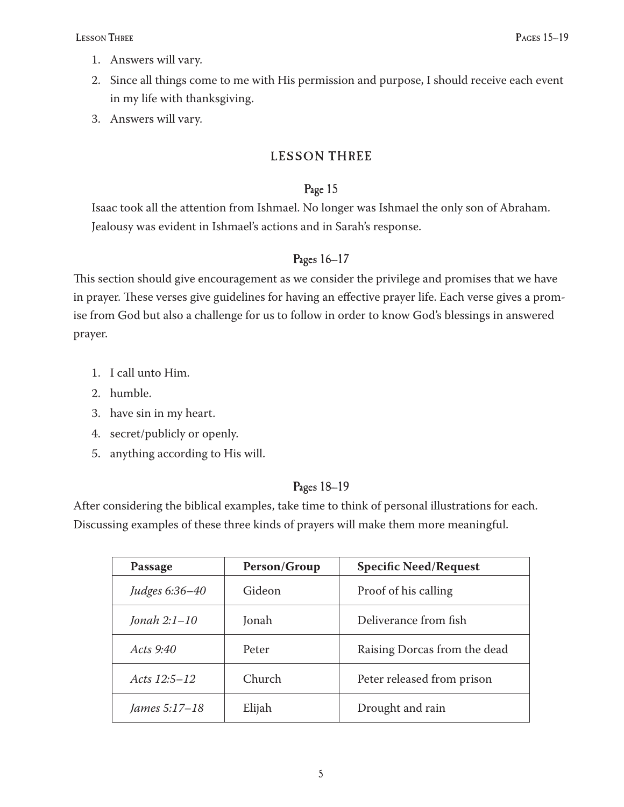- Answers will vary. 1.
- Since all things come to me with His permission and purpose, I should receive each event 2. in my life with thanksgiving.
- Answers will vary. 3.

# LESSON THREE

## Page 15

Isaac took all the attention from Ishmael. No longer was Ishmael the only son of Abraham. Jealousy was evident in Ishmael's actions and in Sarah's response.

## Pages 16–17

This section should give encouragement as we consider the privilege and promises that we have in prayer. These verses give guidelines for having an effective prayer life. Each verse gives a promise from God but also a challenge for us to follow in order to know God's blessings in answered prayer.

- 1. I call unto Him.
- humble. 2.
- 3. have sin in my heart.
- secret/publicly or openly. 4.
- 5.  $\,$  anything according to His will.

## Pages 18–19

After considering the biblical examples, take time to think of personal illustrations for each. Discussing examples of these three kinds of prayers will make them more meaningful.

| Passage          | Person/Group | <b>Specific Need/Request</b> |
|------------------|--------------|------------------------------|
| Judges 6:36-40   | Gideon       | Proof of his calling         |
| Jonah $2:1-10$   | Jonah        | Deliverance from fish        |
| Acts 9:40        | Peter        | Raising Dorcas from the dead |
| Acts $12:5 - 12$ | Church       | Peter released from prison   |
| James 5:17–18    | Elijah       | Drought and rain             |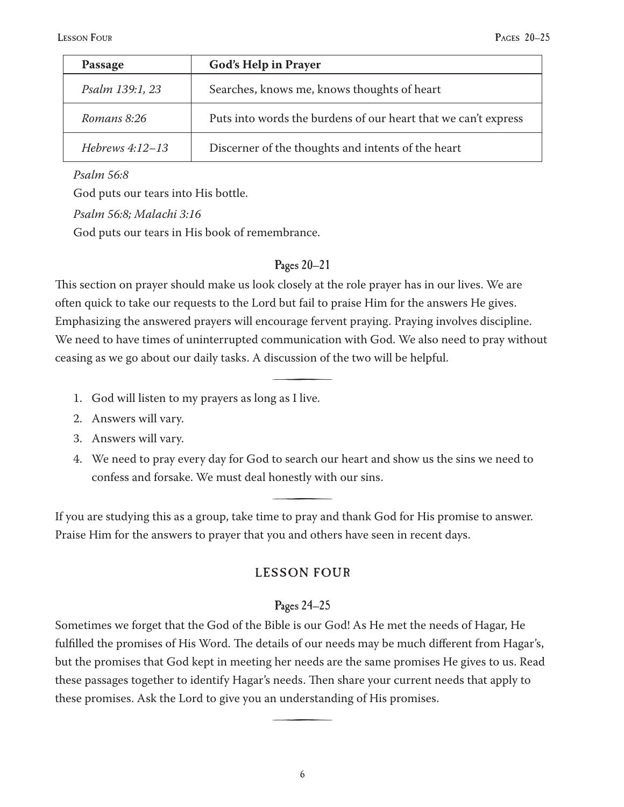| Passage           | <b>God's Help in Prayer</b>                                    |
|-------------------|----------------------------------------------------------------|
| Psalm 139:1, 23   | Searches, knows me, knows thoughts of heart                    |
| Romans 8:26       | Puts into words the burdens of our heart that we can't express |
| Hebrews $4:12-13$ | Discerner of the thoughts and intents of the heart             |

*Psalm 56:8*

God puts our tears into His bottle.

*Psalm 56:8; Malachi 3:16*

God puts our tears in His book of remembrance.

#### Pages 20–21

This section on prayer should make us look closely at the role prayer has in our lives. We are often quick to take our requests to the Lord but fail to praise Him for the answers He gives. Emphasizing the answered prayers will encourage fervent praying. Praying involves discipline. We need to have times of uninterrupted communication with God. We also need to pray without ceasing as we go about our daily tasks. A discussion of the two will be helpful.

<u>šterili predstavanja predstavanja predstavanja predstavanja predstavanja predstavanja predstavanja predstavanja predstavanja predstavanja predstavanja predstavanja predstavanja predstavanja predstavanja predstavanja preds</u>

- God will listen to my prayers as long as I live. 1.
- Answers will vary. 2.
- Answers will vary. 3.
- We need to pray every day for God to search our heart and show us the sins we need to 4. confess and forsake. We must deal honestly with our sins.

<u>šterili predstavanja predstavanja predstavanja predstavanja predstavanja predstavanja predstavanja predstavanja predstavanja predstavanja predstavanja predstavanja predstavanja predstavanja predstavanja predstavanja preds</u>

If you are studying this as a group, take time to pray and thank God for His promise to answer. Praise Him for the answers to prayer that you and others have seen in recent days.

## **LESSON FOUR**

## Pages 24–25

Sometimes we forget that the God of the Bible is our God! As He met the needs of Hagar, He fulfilled the promises of His Word. The details of our needs may be much different from Hagar's, but the promises that God kept in meeting her needs are the same promises He gives to us. Read these passages together to identify Hagar's needs. Then share your current needs that apply to these promises. Ask the Lord to give you an understanding of His promises.

<u>števili predstavilni predstavilni predstavilni predstavilni predstavilni predstavilni predstavilni predstavilni predstavilni predstavilni predstavilni predstavilni predstavilni predstavilni predstavilni predstavilni preds</u>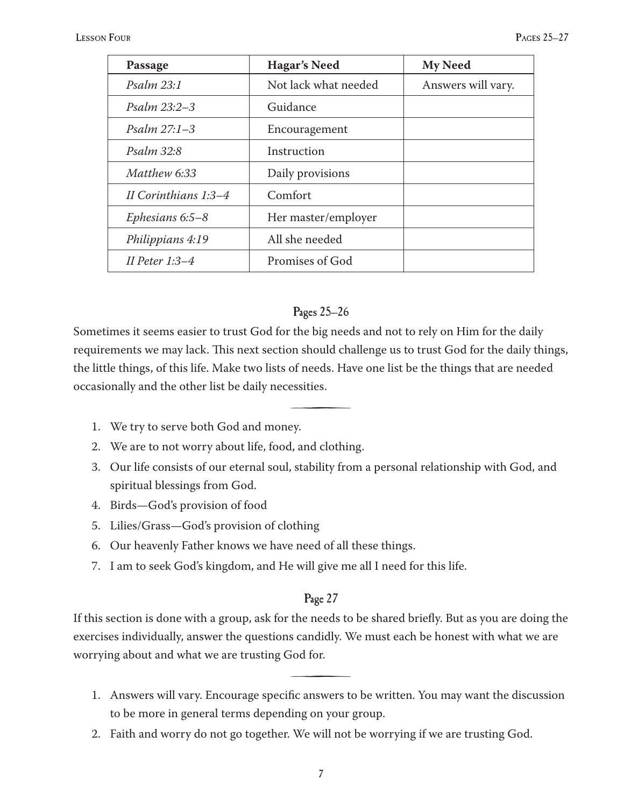| Passage               | <b>Hagar's Need</b>  | <b>My Need</b>     |
|-----------------------|----------------------|--------------------|
| <i>Psalm 23:1</i>     | Not lack what needed | Answers will vary. |
| <i>Psalm</i> $23:2-3$ | Guidance             |                    |
| Psalm $27:1-3$        | Encouragement        |                    |
| Psalm 32:8            | Instruction          |                    |
| Matthew 6:33          | Daily provisions     |                    |
| II Corinthians 1:3–4  | Comfort              |                    |
| Ephesians $6.5 - 8$   | Her master/employer  |                    |
| Philippians 4:19      | All she needed       |                    |
| II Peter $1:3-4$      | Promises of God      |                    |

#### Pages 25–26

Sometimes it seems easier to trust God for the big needs and not to rely on Him for the daily requirements we may lack. This next section should challenge us to trust God for the daily things, the little things, of this life. Make two lists of needs. Have one list be the things that are needed occasionally and the other list be daily necessities.

<u>šterili predstavanja predstavanja predstavanja predstavanja predstavanja predstavanja predstavanja predstavanja predstavanja predstavanja predstavanja predstavanja predstavanja predstavanja predstavanja predstavanja preds</u>

- We try to serve both God and money. 1.
- We are to not worry about life, food, and clothing. 2.
- Our life consists of our eternal soul, stability from a personal relationship with God, and 3. spiritual blessings from God.
- Birds—God's provision of food 4.
- Lilies/Grass—God's provision of clothing 5.
- Our heavenly Father knows we have need of all these things. 6.
- 7. I am to seek God's kingdom, and He will give me all I need for this life.

## Page 27

If this section is done with a group, ask for the needs to be shared briefly. But as you are doing the exercises individually, answer the questions candidly. We must each be honest with what we are worrying about and what we are trusting God for.

<u>števili predstavilni predstavilni predstavilni predstavilni predstavilni predstavilni predstavilni predstavilni predstavilni predstavilni predstavilni predstavilni predstavilni predstavilni predstavilni predstavilni preds</u>

- Answers will vary. Encourage specific answers to be written. You may want the discussion 1. to be more in general terms depending on your group.
- Faith and worry do not go together. We will not be worrying if we are trusting God. 2.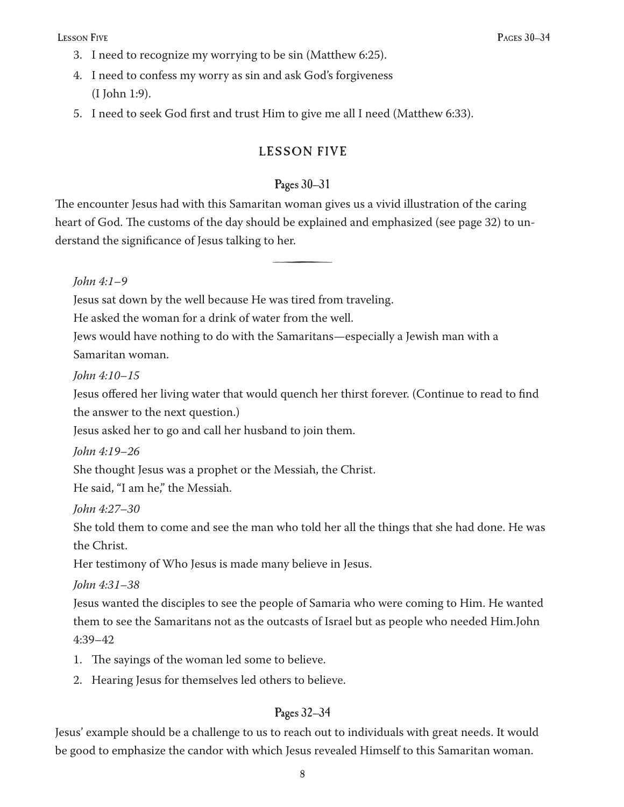- I need to recognize my worrying to be sin (Matthew 6:25). 3.
- I need to confess my worry as sin and ask God's forgiveness 4. (I John 1:9).
- I need to seek God first and trust Him to give me all I need (Matthew 6:33). 5.

## LESSON FIVE

#### Pages 30–31

The encounter Jesus had with this Samaritan woman gives us a vivid illustration of the caring heart of God. The customs of the day should be explained and emphasized (see page 32) to understand the significance of Jesus talking to her.

<u>števili predstavilni predstavilni predstavilni predstavilni predstavilni predstavilni predstavilni predstavilni predstavilni predstavilni predstavilni predstavilni predstavilni predstavilni predstavilni predstavilni preds</u>

#### *John 4:1–9*

Jesus sat down by the well because He was tired from traveling.

He asked the woman for a drink of water from the well.

Jews would have nothing to do with the Samaritans—especially a Jewish man with a Samaritan woman.

*John 4:10–15*

Jesus offered her living water that would quench her thirst forever. (Continue to read to find the answer to the next question.)

Jesus asked her to go and call her husband to join them.

*John 4:19–26*

She thought Jesus was a prophet or the Messiah, the Christ.

He said, "I am he," the Messiah.

*John 4:27–30*

She told them to come and see the man who told her all the things that she had done. He was the Christ.

Her testimony of Who Jesus is made many believe in Jesus.

*John 4:31–38*

Jesus wanted the disciples to see the people of Samaria who were coming to Him. He wanted them to see the Samaritans not as the outcasts of Israel but as people who needed Him.John 4:39–42

- 1. The sayings of the woman led some to believe.
- Hearing Jesus for themselves led others to believe. 2.

## Pages 32–34

Jesus' example should be a challenge to us to reach out to individuals with great needs. It would be good to emphasize the candor with which Jesus revealed Himself to this Samaritan woman.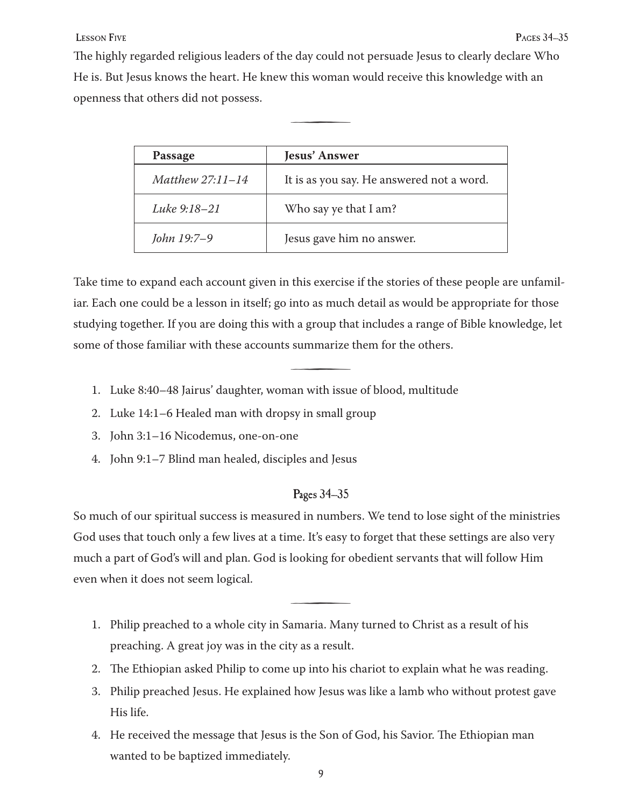The highly regarded religious leaders of the day could not persuade Jesus to clearly declare Who He is. But Jesus knows the heart. He knew this woman would receive this knowledge with an openness that others did not possess.

<u>števili predstavilni predstavilni predstavilni predstavilni predstavilni predstavilni predstavilni predstavilni predstavilni predstavilni predstavilni predstavilni predstavilni predstavilni predstavilni predstavilni preds</u>

| Passage            | <b>Jesus' Answer</b>                      |
|--------------------|-------------------------------------------|
| Matthew $27:11-14$ | It is as you say. He answered not a word. |
| Luke 9:18-21       | Who say ye that I am?                     |
| John 19:7-9        | Jesus gave him no answer.                 |

Take time to expand each account given in this exercise if the stories of these people are unfamiliar. Each one could be a lesson in itself; go into as much detail as would be appropriate for those studying together. If you are doing this with a group that includes a range of Bible knowledge, let some of those familiar with these accounts summarize them for the others.

<u>šterili predstavanju predstavanju predstavanju predstavanju predstavanju predstavanju predstavanju predstavanju predstavanju predstavanju predstavanju predstavanju predstavanju predstavanju predstavanju predstavanju preds</u>

- Luke 8:40–48 Jairus' daughter, woman with issue of blood, multitude 1.
- Luke 14:1–6 Healed man with dropsy in small group 2.
- John 3:1–16 Nicodemus, one-on-one 3.
- John 9:1–7 Blind man healed, disciples and Jesus 4.

#### Pages 34–35

So much of our spiritual success is measured in numbers. We tend to lose sight of the ministries God uses that touch only a few lives at a time. It's easy to forget that these settings are also very much a part of God's will and plan. God is looking for obedient servants that will follow Him even when it does not seem logical.

- Philip preached to a whole city in Samaria. Many turned to Christ as a result of his 1. preaching. A great joy was in the city as a result.
- The Ethiopian asked Philip to come up into his chariot to explain what he was reading. 2.

<u>šterili predstavanju predstavanju predstavanju predstavanju predstavanju predstavanju predstavanju predstavanju predstavanju predstavanju predstavanju predstavanju predstavanju predstavanju predstavanju predstavanju preds</u>

- Philip preached Jesus. He explained how Jesus was like a lamb who without protest gave 3. His life.
- He received the message that Jesus is the Son of God, his Savior. The Ethiopian man 4. wanted to be baptized immediately.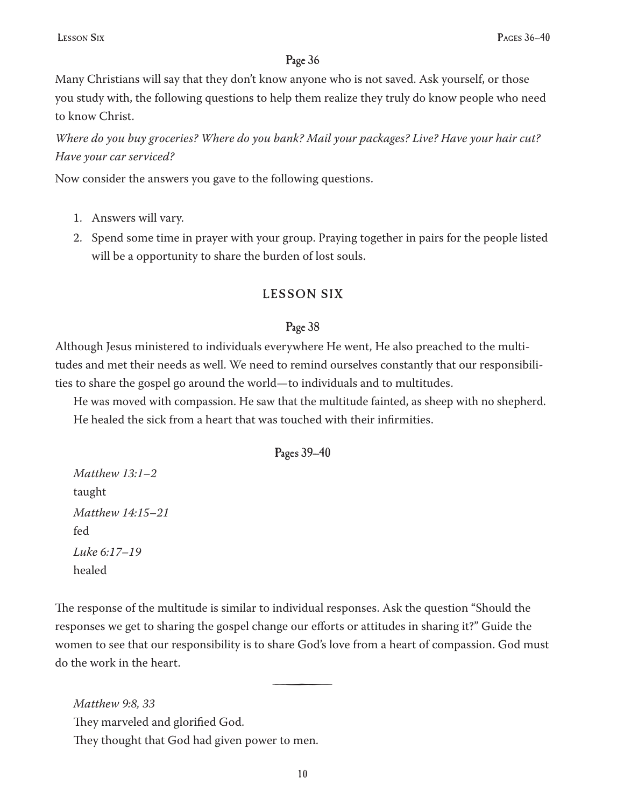Many Christians will say that they don't know anyone who is not saved. Ask yourself, or those you study with, the following questions to help them realize they truly do know people who need to know Christ.

*Where do you buy groceries? Where do you bank? Mail your packages? Live? Have your hair cut? Have your car serviced?*

Now consider the answers you gave to the following questions.

- Answers will vary. 1.
- 2. Spend some time in prayer with your group. Praying together in pairs for the people listed will be a opportunity to share the burden of lost souls.

## LESSON SIX

#### Page 38

Although Jesus ministered to individuals everywhere He went, He also preached to the multitudes and met their needs as well. We need to remind ourselves constantly that our responsibilities to share the gospel go around the world—to individuals and to multitudes.

He was moved with compassion. He saw that the multitude fainted, as sheep with no shepherd. He healed the sick from a heart that was touched with their infirmities.

#### Pages 39–40

*Matthew 13:1–2* taught *Matthew 14:15–21*  fed *Luke 6:17–19* healed

The response of the multitude is similar to individual responses. Ask the question "Should the responses we get to sharing the gospel change our efforts or attitudes in sharing it?" Guide the women to see that our responsibility is to share God's love from a heart of compassion. God must do the work in the heart.

<u>šterili predstavanju predstavanju predstavanju predstavanju predstavanju predstavanju predstavanju predstavanju predstavanju predstavanju predstavanju predstavanju predstavanju predstavanju predstavanju predstavanju preds</u>

*Matthew 9:8, 33* They marveled and glorified God. They thought that God had given power to men.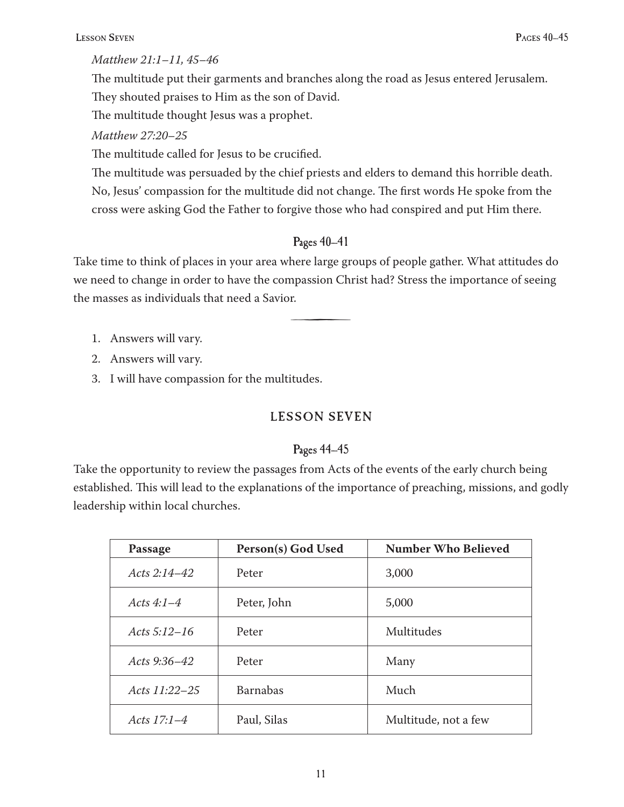#### *Matthew 21:1–11, 45–46*

The multitude put their garments and branches along the road as Jesus entered Jerusalem. They shouted praises to Him as the son of David.

The multitude thought Jesus was a prophet.

## *Matthew 27:20–25*

The multitude called for Jesus to be crucified.

The multitude was persuaded by the chief priests and elders to demand this horrible death. No, Jesus' compassion for the multitude did not change. The first words He spoke from the cross were asking God the Father to forgive those who had conspired and put Him there.

## Pages 40–41

Take time to think of places in your area where large groups of people gather. What attitudes do we need to change in order to have the compassion Christ had? Stress the importance of seeing the masses as individuals that need a Savior.

š

- Answers will vary. 1.
- Answers will vary. 2.
- 3. I will have compassion for the multitudes.

## LESSON SEVEN

## Pages 44–45

Take the opportunity to review the passages from Acts of the events of the early church being established. This will lead to the explanations of the importance of preaching, missions, and godly leadership within local churches.

| Passage         | Person(s) God Used | <b>Number Who Believed</b> |
|-----------------|--------------------|----------------------------|
| Acts $2:14-42$  | Peter              | 3,000                      |
| Acts $4:1-4$    | Peter, John        | 5,000                      |
| Acts $5:12-16$  | Peter              | Multitudes                 |
| Acts 9:36-42    | Peter              | Many                       |
| Acts $11:22-25$ | <b>Barnabas</b>    | Much                       |
| Acts $17.1 - 4$ | Paul, Silas        | Multitude, not a few       |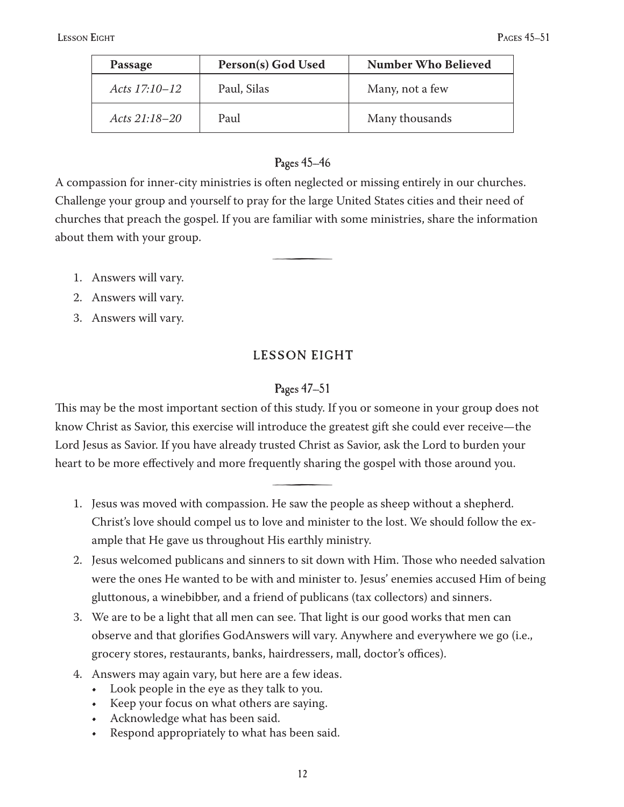| Passage           | Person(s) God Used | <b>Number Who Believed</b> |
|-------------------|--------------------|----------------------------|
| Acts $17:10 - 12$ | Paul, Silas        | Many, not a few            |
| Acts 21:18–20     | Paul               | Many thousands             |

## Pages 45–46

A compassion for inner-city ministries is often neglected or missing entirely in our churches. Challenge your group and yourself to pray for the large United States cities and their need of churches that preach the gospel. If you are familiar with some ministries, share the information about them with your group.

<u>šterili predstavanju predstavanju predstavanju predstavanju predstavanju predstavanju predstavanju predstavanju predstavanju predstavanju predstavanju predstavanju predstavanju predstavanju predstavanju predstavanju preds</u>

- Answers will vary. 1.
- Answers will vary. 2.
- Answers will vary. 3.

# LESSON EIGHT

## Pages 47–51

This may be the most important section of this study. If you or someone in your group does not know Christ as Savior, this exercise will introduce the greatest gift she could ever receive—the Lord Jesus as Savior. If you have already trusted Christ as Savior, ask the Lord to burden your heart to be more effectively and more frequently sharing the gospel with those around you.

Jesus was moved with compassion. He saw the people as sheep without a shepherd. 1. Christ's love should compel us to love and minister to the lost. We should follow the example that He gave us throughout His earthly ministry.

<u>šterili predstavanju predstavanju predstavanju predstavanju predstavanju predstavanju predstavanju predstavanju predstavanju predstavanju predstavanju predstavanju predstavanju predstavanju predstavanju predstavanju preds</u>

- 2. Jesus welcomed publicans and sinners to sit down with Him. Those who needed salvation were the ones He wanted to be with and minister to. Jesus' enemies accused Him of being gluttonous, a winebibber, and a friend of publicans (tax collectors) and sinners.
- We are to be a light that all men can see. That light is our good works that men can 3. observe and that glorifies GodAnswers will vary. Anywhere and everywhere we go (i.e., grocery stores, restaurants, banks, hairdressers, mall, doctor's offices).
- Answers may again vary, but here are a few ideas. 4.
	- Look people in the eye as they talk to you. •
	- Keep your focus on what others are saying. •
	- Acknowledge what has been said. •
	- Respond appropriately to what has been said. •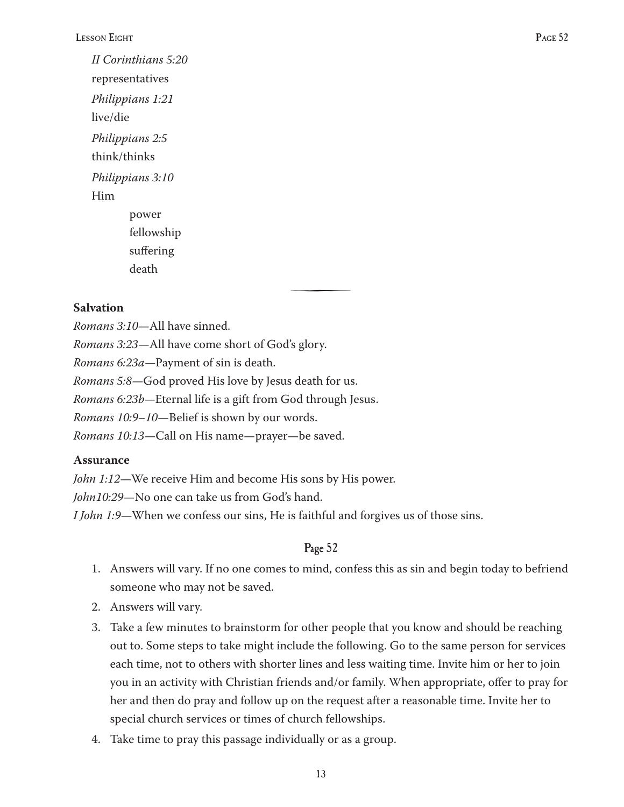*II Corinthians 5:20* representatives *Philippians 1:21* live/die *Philippians 2:5* think/thinks *Philippians 3:10* Him power fellowship

suffering death

## **Salvation**

*Romans 3:10*—All have sinned.

*Romans 3:23*—All have come short of God's glory.

*Romans 6:23a—*Payment of sin is death.

*Romans 5:8*—God proved His love by Jesus death for us.

*Romans 6:23b—*Eternal life is a gift from God through Jesus.

*Romans 10:9–10*—Belief is shown by our words.

*Romans 10:13*—Call on His name—prayer—be saved.

## **Assurance**

*John 1:12*—We receive Him and become His sons by His power.

*John10:29*—No one can take us from God's hand.

*I John 1:9*—When we confess our sins, He is faithful and forgives us of those sins.

## Page 52

š

- Answers will vary. If no one comes to mind, confess this as sin and begin today to befriend 1. someone who may not be saved.
- Answers will vary. 2.
- Take a few minutes to brainstorm for other people that you know and should be reaching 3. out to. Some steps to take might include the following. Go to the same person for services each time, not to others with shorter lines and less waiting time. Invite him or her to join you in an activity with Christian friends and/or family. When appropriate, offer to pray for her and then do pray and follow up on the request after a reasonable time. Invite her to special church services or times of church fellowships.
- Take time to pray this passage individually or as a group. 4.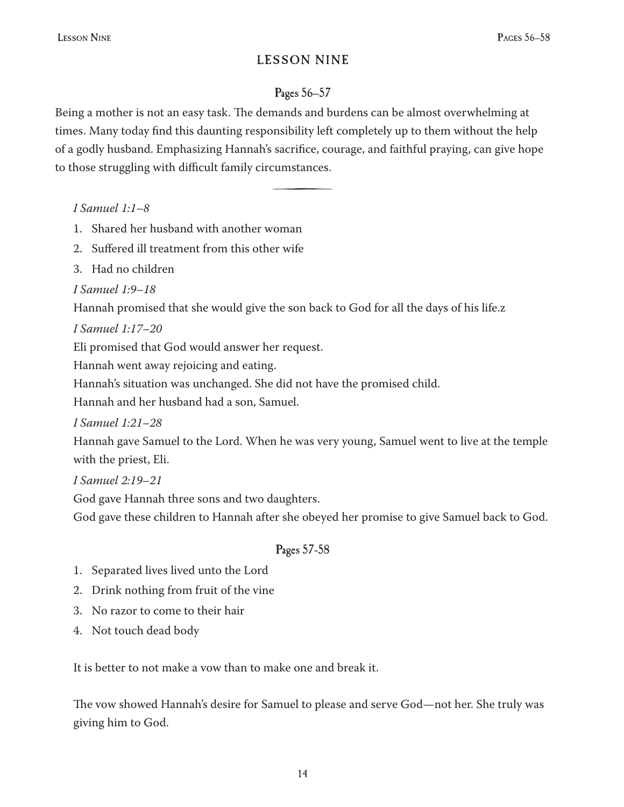## LESSON NINE

# Pages 56–57

Being a mother is not an easy task. The demands and burdens can be almost overwhelming at times. Many today find this daunting responsibility left completely up to them without the help of a godly husband. Emphasizing Hannah's sacrifice, courage, and faithful praying, can give hope to those struggling with difficult family circumstances.

š

*I Samuel 1:1–8*

- Shared her husband with another woman 1.
- 2. Suffered ill treatment from this other wife
- Had no children 3.

*I Samuel 1:9–18*

Hannah promised that she would give the son back to God for all the days of his life.z

*I Samuel 1:17–20*

Eli promised that God would answer her request.

Hannah went away rejoicing and eating.

Hannah's situation was unchanged. She did not have the promised child.

Hannah and her husband had a son, Samuel.

*I Samuel 1:21–28*

Hannah gave Samuel to the Lord. When he was very young, Samuel went to live at the temple with the priest, Eli.

*I Samuel 2:19–21*

God gave Hannah three sons and two daughters.

God gave these children to Hannah after she obeyed her promise to give Samuel back to God.

# Pages 57-58

- 1. Separated lives lived unto the Lord
- 2. Drink nothing from fruit of the vine
- No razor to come to their hair 3.
- Not touch dead body 4.

It is better to not make a vow than to make one and break it.

The vow showed Hannah's desire for Samuel to please and serve God—not her. She truly was giving him to God.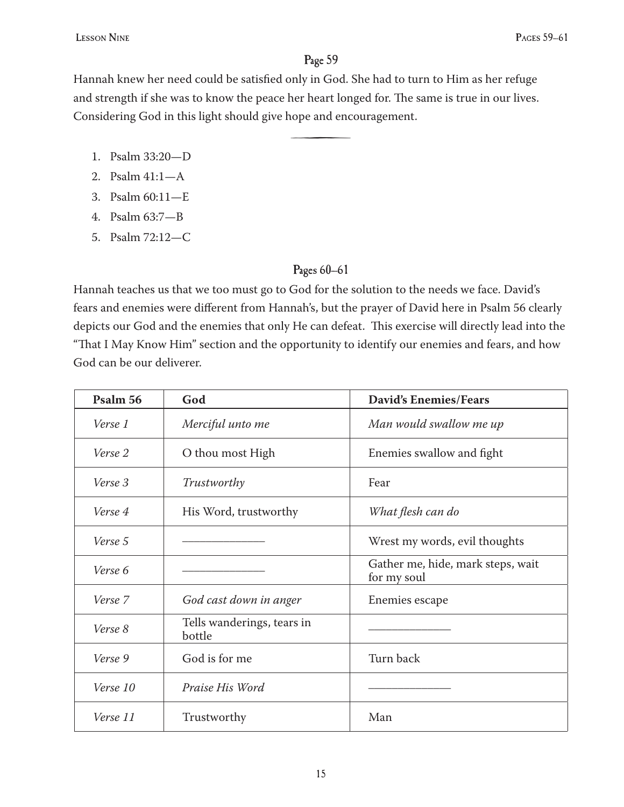<u>šterili predstavanju predstavanju predstavanju predstavanju predstavanju predstavanju predstavanju predstavanju predstavanju predstavanju predstavanju predstavanju predstavanju predstavanju predstavanju predstavanju preds</u>

Hannah knew her need could be satisfied only in God. She had to turn to Him as her refuge and strength if she was to know the peace her heart longed for. The same is true in our lives. Considering God in this light should give hope and encouragement.

- Psalm 33:20—D 1.
- Psalm 41:1—A 2.
- Psalm 60:11—E 3.
- Psalm 63:7—B 4.
- Psalm 72:12—C 5.

#### Pages 60–61

Hannah teaches us that we too must go to God for the solution to the needs we face. David's fears and enemies were different from Hannah's, but the prayer of David here in Psalm 56 clearly depicts our God and the enemies that only He can defeat. This exercise will directly lead into the "That I May Know Him" section and the opportunity to identify our enemies and fears, and how God can be our deliverer.

| Psalm 56 | God                                  | <b>David's Enemies/Fears</b>                     |
|----------|--------------------------------------|--------------------------------------------------|
| Verse 1  | Merciful unto me                     | Man would swallow me up                          |
| Verse 2  | O thou most High                     | Enemies swallow and fight                        |
| Verse 3  | Trustworthy                          | Fear                                             |
| Verse 4  | His Word, trustworthy                | What flesh can do                                |
| Verse 5  |                                      | Wrest my words, evil thoughts                    |
| Verse 6  |                                      | Gather me, hide, mark steps, wait<br>for my soul |
| Verse 7  | God cast down in anger               | Enemies escape                                   |
| Verse 8  | Tells wanderings, tears in<br>bottle |                                                  |
| Verse 9  | God is for me                        | Turn back                                        |
| Verse 10 | Praise His Word                      |                                                  |
| Verse 11 | Trustworthy                          | Man                                              |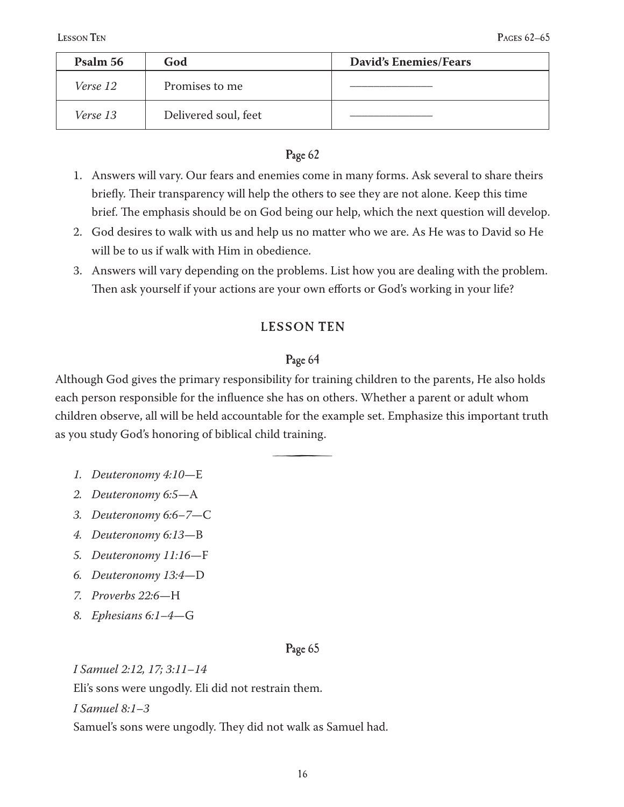| Psalm 56 | God                  | <b>David's Enemies/Fears</b> |
|----------|----------------------|------------------------------|
| Verse 12 | Promises to me       |                              |
| Verse 13 | Delivered soul, feet |                              |

- Answers will vary. Our fears and enemies come in many forms. Ask several to share theirs 1. briefly. Their transparency will help the others to see they are not alone. Keep this time brief. The emphasis should be on God being our help, which the next question will develop.
- God desires to walk with us and help us no matter who we are. As He was to David so He 2. will be to us if walk with Him in obedience.
- Answers will vary depending on the problems. List how you are dealing with the problem. 3. Then ask yourself if your actions are your own efforts or God's working in your life?

## **LESSON TEN**

#### Page 64

Although God gives the primary responsibility for training children to the parents, He also holds each person responsible for the influence she has on others. Whether a parent or adult whom children observe, all will be held accountable for the example set. Emphasize this important truth as you study God's honoring of biblical child training.

š

- *Deuteronomy 4:10*—E *1.*
- *Deuteronomy 6:5*—A *2.*
- *Deuteronomy 6:6–7*—C *3.*
- *Deuteronomy 6:13*—B *4.*
- *Deuteronomy 11:16*—F *5.*
- *Deuteronomy 13:4*—D *6.*
- *Proverbs 22:6*—H *7.*
- *Ephesians 6:1–4*—G *8.*

#### Page 65

*I Samuel 2:12, 17; 3:11–14* Eli's sons were ungodly. Eli did not restrain them.

*I Samuel 8:1–3*

Samuel's sons were ungodly. They did not walk as Samuel had.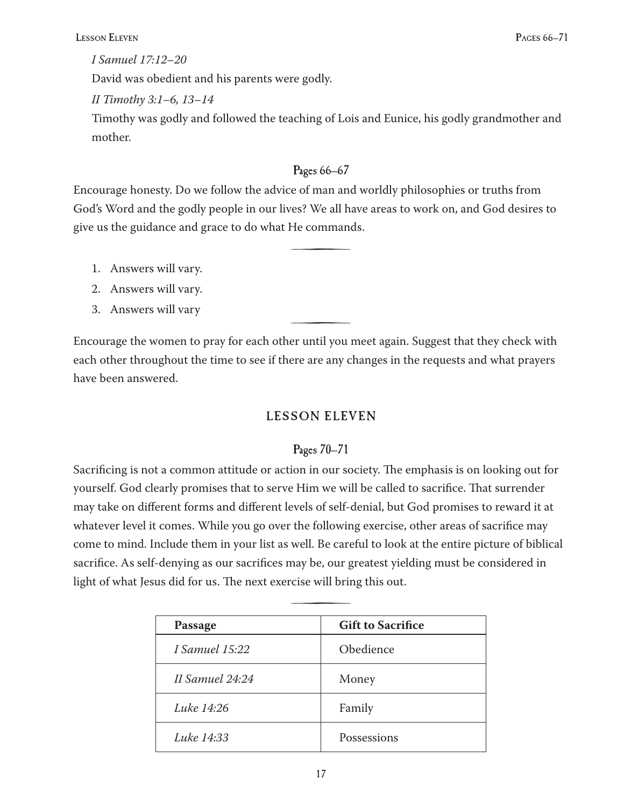#### *I Samuel 17:12–20*

David was obedient and his parents were godly.

## *II Timothy 3:1–6, 13–14*

Timothy was godly and followed the teaching of Lois and Eunice, his godly grandmother and mother.

## Pages 66–67

Encourage honesty. Do we follow the advice of man and worldly philosophies or truths from God's Word and the godly people in our lives? We all have areas to work on, and God desires to give us the guidance and grace to do what He commands.

<u>šterili predstavanju predstavanju predstavanju predstavanju predstavanju predstavanju predstavanju predstavanju predstavanju predstavanju predstavanju predstavanju predstavanju predstavanju predstavanju predstavanju preds</u>

- Answers will vary. 1.
- Answers will vary. 2.
- 3. Answers will vary  $\overline{\phantom{a}}$

Encourage the women to pray for each other until you meet again. Suggest that they check with each other throughout the time to see if there are any changes in the requests and what prayers have been answered.

# LESSON ELEVEN

## Pages 70–71

Sacrificing is not a common attitude or action in our society. The emphasis is on looking out for yourself. God clearly promises that to serve Him we will be called to sacrifice. That surrender may take on different forms and different levels of self-denial, but God promises to reward it at whatever level it comes. While you go over the following exercise, other areas of sacrifice may come to mind. Include them in your list as well. Be careful to look at the entire picture of biblical sacrifice. As self-denying as our sacrifices may be, our greatest yielding must be considered in light of what Jesus did for us. The next exercise will bring this out.

| Passage         | <b>Gift to Sacrifice</b> |
|-----------------|--------------------------|
|                 |                          |
| I Samuel 15:22  | Obedience                |
| II Samuel 24:24 | Money                    |
| Luke 14:26      | Family                   |
|                 |                          |
| Luke 14:33      | Possessions              |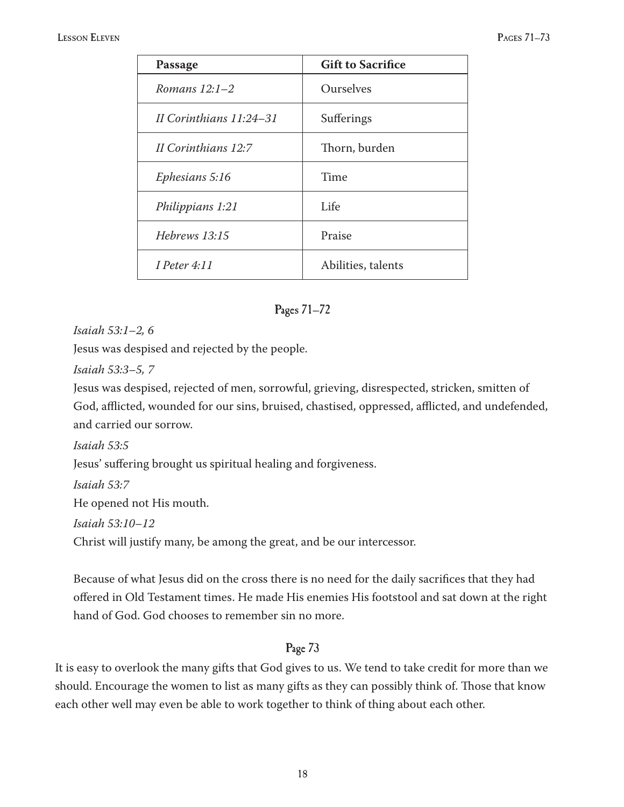#### LESSON ELEVEN PAGES 71–73

| Passage                   | <b>Gift to Sacrifice</b> |
|---------------------------|--------------------------|
| Romans $12:1-2$           | Ourselves                |
| II Corinthians $11:24-31$ | Sufferings               |
| II Corinthians 12:7       | Thorn, burden            |
| Ephesians 5:16            | Time                     |
| Philippians 1:21          | Life                     |
| Hebrews 13:15             | Praise                   |
| <i>I</i> Peter $4:11$     | Abilities, talents       |

#### Pages 71–72

*Isaiah 53:1–2, 6*

Jesus was despised and rejected by the people.

*Isaiah 53:3–5, 7*

Jesus was despised, rejected of men, sorrowful, grieving, disrespected, stricken, smitten of God, afflicted, wounded for our sins, bruised, chastised, oppressed, afflicted, and undefended, and carried our sorrow.

*Isaiah 53:5*

Jesus' suffering brought us spiritual healing and forgiveness.

*Isaiah 53:7*

He opened not His mouth.

*Isaiah 53:10–12*

Christ will justify many, be among the great, and be our intercessor.

Because of what Jesus did on the cross there is no need for the daily sacrifices that they had offered in Old Testament times. He made His enemies His footstool and sat down at the right hand of God. God chooses to remember sin no more.

## Page 73

It is easy to overlook the many gifts that God gives to us. We tend to take credit for more than we should. Encourage the women to list as many gifts as they can possibly think of. Those that know each other well may even be able to work together to think of thing about each other.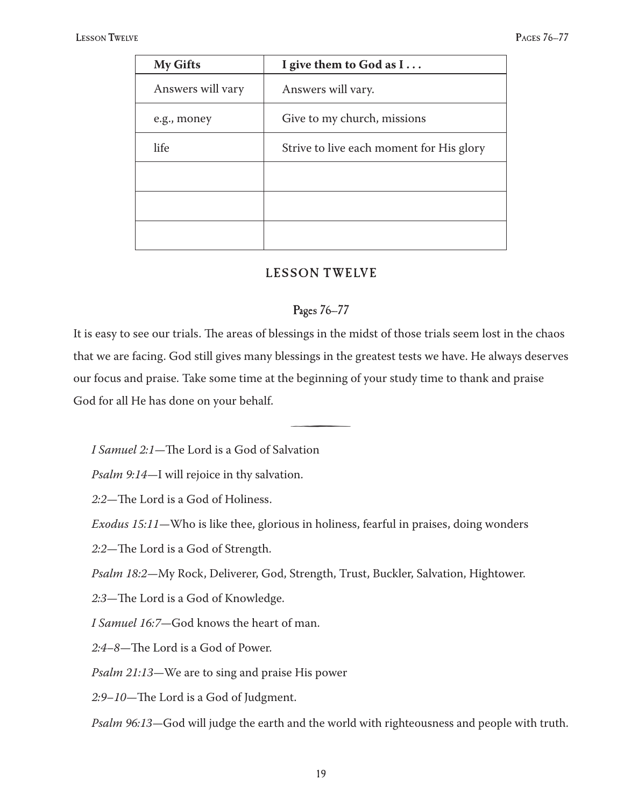| <b>My Gifts</b>   | I give them to God as $I$                |
|-------------------|------------------------------------------|
| Answers will vary | Answers will vary.                       |
| e.g., money       | Give to my church, missions              |
| life              | Strive to live each moment for His glory |
|                   |                                          |
|                   |                                          |
|                   |                                          |

## LESSON TWELVE

## Pages 76–77

It is easy to see our trials. The areas of blessings in the midst of those trials seem lost in the chaos that we are facing. God still gives many blessings in the greatest tests we have. He always deserves our focus and praise. Take some time at the beginning of your study time to thank and praise God for all He has done on your behalf.

<u>šterili predstavanju predstavanju predstavanju predstavanju predstavanju predstavanju predstavanju predstavanju predstavanju predstavanju predstavanju predstavanju predstavanju predstavanju predstavanju predstavanju preds</u>

*I Samuel 2:1—*The Lord is a God of Salvation

*Psalm 9:14—*I will rejoice in thy salvation.

*2:2—*The Lord is a God of Holiness.

*Exodus 15:11—*Who is like thee, glorious in holiness, fearful in praises, doing wonders

*2:2—*The Lord is a God of Strength.

*Psalm 18:2—*My Rock, Deliverer, God, Strength, Trust, Buckler, Salvation, Hightower.

*2:3—*The Lord is a God of Knowledge.

*I Samuel 16:7—*God knows the heart of man.

*2:4–8—*The Lord is a God of Power.

*Psalm 21:13—*We are to sing and praise His power

*2:9–10—*The Lord is a God of Judgment.

*Psalm 96:13—*God will judge the earth and the world with righteousness and people with truth.